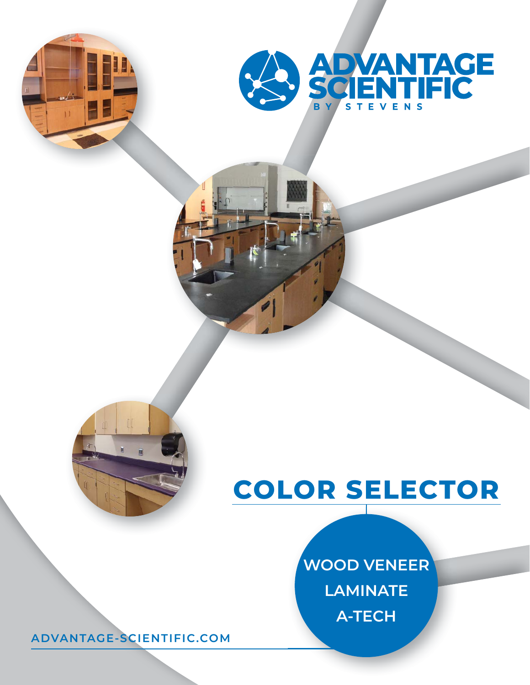



#### **COLOR SELECTOR**

#### **WOOD VENEER LAMINATE A-TECH**

**ADVANTAGE-SCIENTIFIC.COM**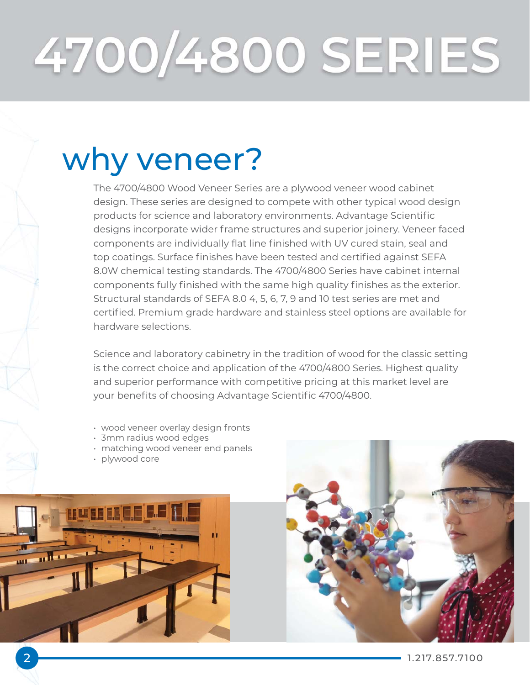# 4700/4800 SERIES

#### why veneer?

The 4700/4800 Wood Veneer Series are a plywood veneer wood cabinet design. These series are designed to compete with other typical wood design products for science and laboratory environments. Advantage Scientific designs incorporate wider frame structures and superior joinery. Veneer faced components are individually flat line finished with UV cured stain, seal and top coatings. Surface finishes have been tested and certified against SEFA 8.0W chemical testing standards. The 4700/4800 Series have cabinet internal components fully finished with the same high quality finishes as the exterior. Structural standards of SEFA 8.0 4, 5, 6, 7, 9 and 10 test series are met and certified. Premium grade hardware and stainless steel options are available for hardware selections.

Science and laboratory cabinetry in the tradition of wood for the classic setting is the correct choice and application of the 4700/4800 Series. Highest quality and superior performance with competitive pricing at this market level are your benefits of choosing Advantage Scientific 4700/4800.

- wood veneer overlay design fronts
- 3mm radius wood edges
- matching wood veneer end panels
- plywood core



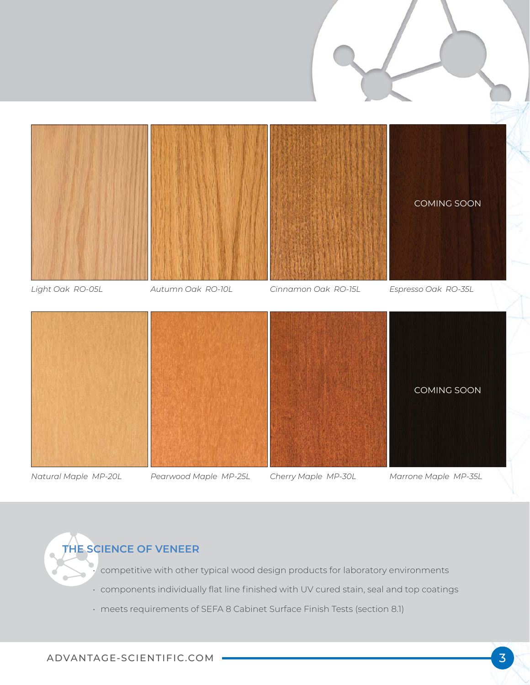

*Natural Maple MP-20L*

*Pearwood Maple MP-25L*

*Cherry Maple MP-30L*

*Marrone Maple MP-35L*

**THE SCIENCE OF VENEER**

• competitive with other typical wood design products for laboratory environments

- components individually flat line finished with UV cured stain, seal and top coatings
- meets requirements of SEFA 8 Cabinet Surface Finish Tests (section 8.1)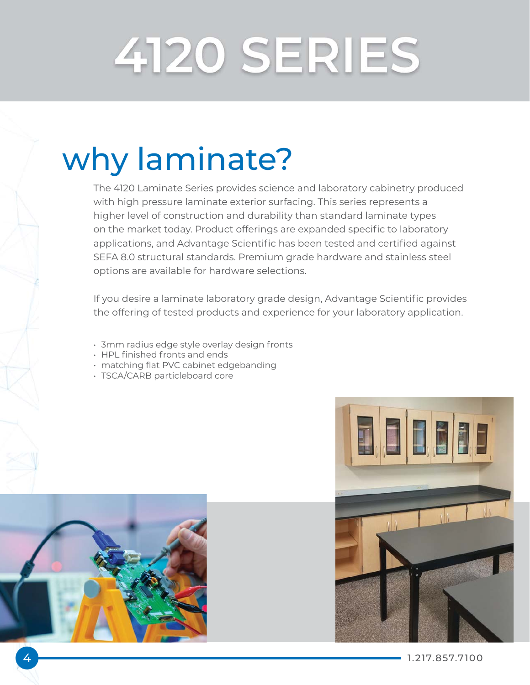## 4120 SERIES

### why laminate?

The 4120 Laminate Series provides science and laboratory cabinetry produced with high pressure laminate exterior surfacing. This series represents a higher level of construction and durability than standard laminate types on the market today. Product offerings are expanded specific to laboratory applications, and Advantage Scientific has been tested and certified against SEFA 8.0 structural standards. Premium grade hardware and stainless steel options are available for hardware selections.

If you desire a laminate laboratory grade design, Advantage Scientific provides the offering of tested products and experience for your laboratory application.

- 3mm radius edge style overlay design fronts
- HPL finished fronts and ends
- matching flat PVC cabinet edgebanding
- TSCA/CARB particleboard core



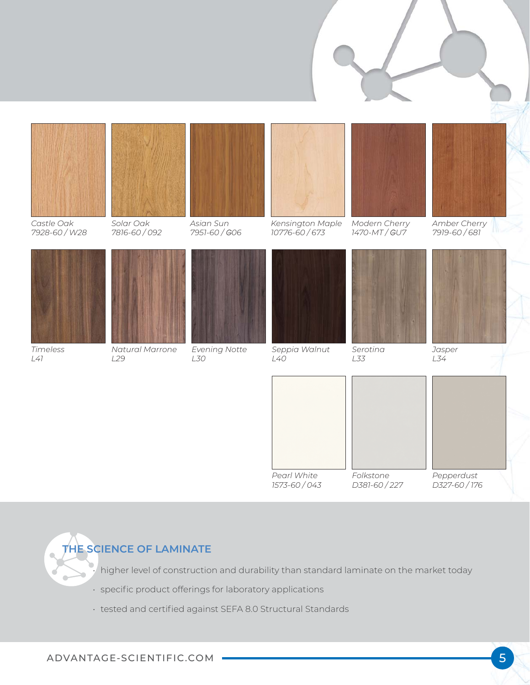

#### **THE SCIENCE OF LAMINATE**

• higher level of construction and durability than standard laminate on the market today

- specific product offerings for laboratory applications
- tested and certified against SEFA 8.0 Structural Standards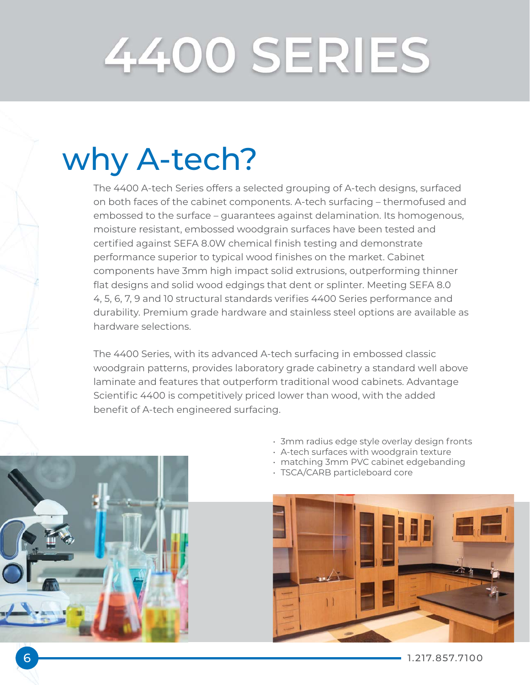## 4400 SERIES

### why A-tech?

The 4400 A-tech Series offers a selected grouping of A-tech designs, surfaced on both faces of the cabinet components. A-tech surfacing – thermofused and embossed to the surface – guarantees against delamination. Its homogenous, moisture resistant, embossed woodgrain surfaces have been tested and certified against SEFA 8.0W chemical finish testing and demonstrate performance superior to typical wood finishes on the market. Cabinet components have 3mm high impact solid extrusions, outperforming thinner flat designs and solid wood edgings that dent or splinter. Meeting SEFA 8.0 4, 5, 6, 7, 9 and 10 structural standards verifies 4400 Series performance and durability. Premium grade hardware and stainless steel options are available as hardware selections.

The 4400 Series, with its advanced A-tech surfacing in embossed classic woodgrain patterns, provides laboratory grade cabinetry a standard well above laminate and features that outperform traditional wood cabinets. Advantage Scientific 4400 is competitively priced lower than wood, with the added benefit of A-tech engineered surfacing.

- 3mm radius edge style overlay design fronts
- A-tech surfaces with woodgrain texture
- matching 3mm PVC cabinet edgebanding
- TSCA/CARB particleboard core





6 1.217.857.7100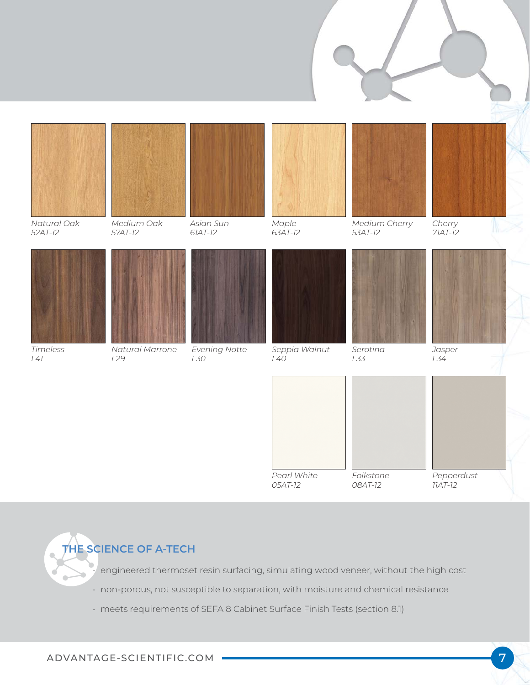

**THE SCIENCE OF A-TECH**

• engineered thermoset resin surfacing, simulating wood veneer, without the high cost

- non-porous, not susceptible to separation, with moisture and chemical resistance
- meets requirements of SEFA 8 Cabinet Surface Finish Tests (section 8.1)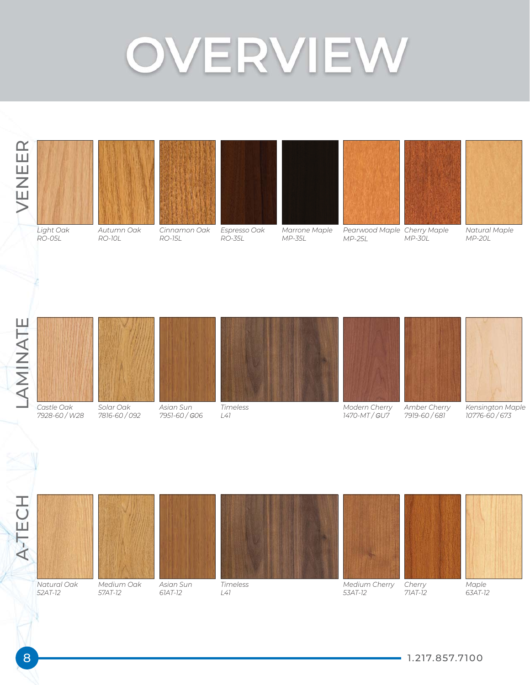### OVERVIEW





*RO-05L*

*Autumn Oak RO-10L*



*Espresso Oak RO-35L*

*Marrone Maple MP-35L*



*MP-25L*



*MP-30L*



*Natural Maple MP-20L*





*7928-60 / W28*



*Solar Oak 7816-60 / 092*





*Timeless*







*Modern Cherry 1470-MT /* G*U7 Amber Cherry 7919-60 / 681*

*Kensington Maple 10776-60 / 673*

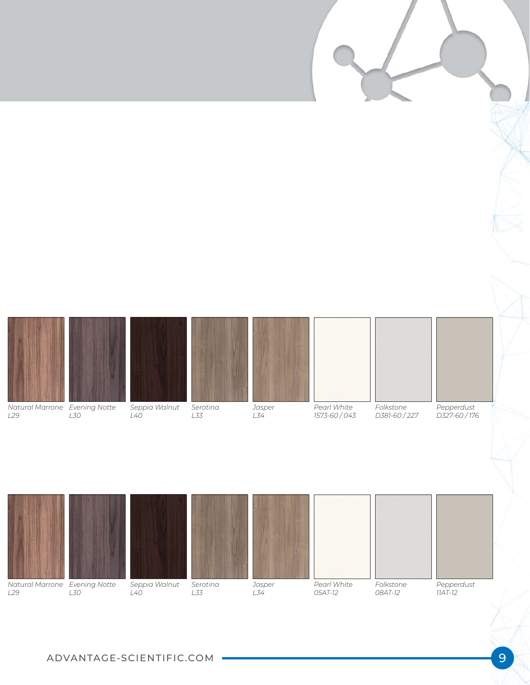|                                                  |     |                      |                 |                            |                            |                          |                           | W. |
|--------------------------------------------------|-----|----------------------|-----------------|----------------------------|----------------------------|--------------------------|---------------------------|----|
|                                                  |     |                      |                 |                            |                            |                          |                           |    |
| Natural Marrone Evening Notte<br>L <sub>29</sub> | L30 | Seppia Walnut<br>L40 | Serotina<br>L33 | Jasper<br>$L\overline{34}$ | Pearl White<br>1573-60/043 | Folkstone<br>D381-60/227 | Pepperdust<br>D327-60/176 |    |